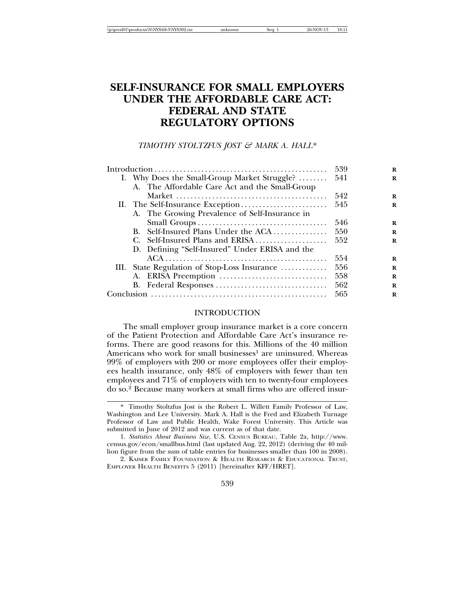| \\iciprod01\productn\N\NYS\68-3\NYS302.txt | Sea:<br>inknown | 26-NOV-13 | 18:1. |
|--------------------------------------------|-----------------|-----------|-------|
|                                            |                 |           |       |

# **SELF-INSURANCE FOR SMALL EMPLOYERS UNDER THE AFFORDABLE CARE ACT: FEDERAL AND STATE REGULATORY OPTIONS**

*TIMOTHY STOLTZFUS JOST & MARK A. HALL*\*

|                                                |     | R |
|------------------------------------------------|-----|---|
| I. Why Does the Small-Group Market Struggle?   | 541 | R |
| A. The Affordable Care Act and the Small-Group |     |   |
|                                                | 542 | R |
| II. The Self-Insurance Exception               | 545 | R |
| A. The Growing Prevalence of Self-Insurance in |     |   |
|                                                | 546 | R |
| B. Self-Insured Plans Under the ACA            | 550 | R |
| C. Self-Insured Plans and ERISA                | 552 | R |
| D. Defining "Self-Insured" Under ERISA and the |     |   |
|                                                | 554 | R |
| III. State Regulation of Stop-Loss Insurance   | 556 | R |
|                                                | 558 | R |
|                                                | 562 | R |
|                                                | 565 | R |

# INTRODUCTION

The small employer group insurance market is a core concern of the Patient Protection and Affordable Care Act's insurance reforms. There are good reasons for this. Millions of the 40 million Americans who work for small businesses<sup>1</sup> are uninsured. Whereas 99% of employers with 200 or more employees offer their employees health insurance, only 48% of employers with fewer than ten employees and 71% of employers with ten to twenty-four employees do so.2 Because many workers at small firms who are offered insur-

<sup>\*</sup> Timothy Stoltzfus Jost is the Robert L. Willett Family Professor of Law, Washington and Lee University. Mark A. Hall is the Fred and Elizabeth Turnage Professor of Law and Public Health, Wake Forest University. This Article was submitted in June of 2012 and was current as of that date.

<sup>1.</sup> *Statistics About Business Size*, U.S. CENSUS BUREAU, Table 2a, http://www. census.gov/econ/smallbus.html (last updated Aug. 22, 2012) (deriving the 40 million figure from the sum of table entries for businesses smaller than 100 in 2008).

<sup>2.</sup> KAISER FAMILY FOUNDATION & HEALTH RESEARCH & EDUCATIONAL TRUST, EMPLOYER HEALTH BENEFITS 5 (2011) [hereinafter KFF/HRET].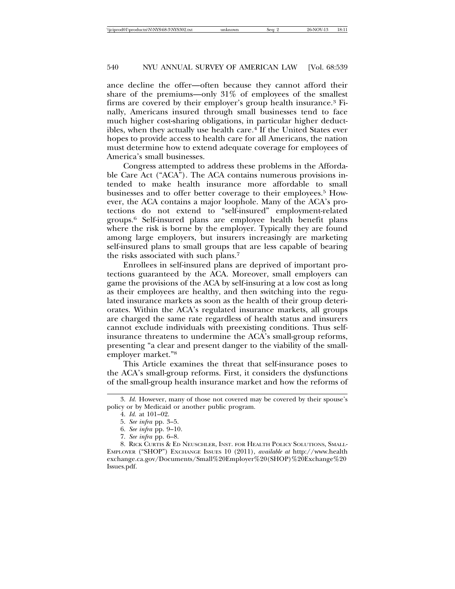ance decline the offer—often because they cannot afford their share of the premiums—only 31% of employees of the smallest firms are covered by their employer's group health insurance.3 Finally, Americans insured through small businesses tend to face much higher cost-sharing obligations, in particular higher deductibles, when they actually use health care.<sup>4</sup> If the United States ever hopes to provide access to health care for all Americans, the nation must determine how to extend adequate coverage for employees of America's small businesses.

Congress attempted to address these problems in the Affordable Care Act ("ACA"). The ACA contains numerous provisions intended to make health insurance more affordable to small businesses and to offer better coverage to their employees.5 However, the ACA contains a major loophole. Many of the ACA's protections do not extend to "self-insured" employment-related groups.6 Self-insured plans are employee health benefit plans where the risk is borne by the employer. Typically they are found among large employers, but insurers increasingly are marketing self-insured plans to small groups that are less capable of bearing the risks associated with such plans.7

Enrollees in self-insured plans are deprived of important protections guaranteed by the ACA. Moreover, small employers can game the provisions of the ACA by self-insuring at a low cost as long as their employees are healthy, and then switching into the regulated insurance markets as soon as the health of their group deteriorates. Within the ACA's regulated insurance markets, all groups are charged the same rate regardless of health status and insurers cannot exclude individuals with preexisting conditions. Thus selfinsurance threatens to undermine the ACA's small-group reforms, presenting "a clear and present danger to the viability of the smallemployer market."8

This Article examines the threat that self-insurance poses to the ACA's small-group reforms. First, it considers the dysfunctions of the small-group health insurance market and how the reforms of

<sup>3.</sup> *Id.* However, many of those not covered may be covered by their spouse's policy or by Medicaid or another public program.

<sup>4.</sup> *Id.* at 101–02.

<sup>5.</sup> *See infra* pp. 3–5.

<sup>6.</sup> *See infra* pp. 9–10.

<sup>7.</sup> *See infra* pp. 6–8.

<sup>8.</sup> RICK CURTIS & ED NEUSCHLER, INST. FOR HEALTH POLICY SOLUTIONS, SMALL-EMPLOYER ("SHOP") EXCHANGE ISSUES 10 (2011), *available at* http://www.health exchange.ca.gov/Documents/Small%20Employer%20(SHOP)%20Exchange%20 Issues.pdf.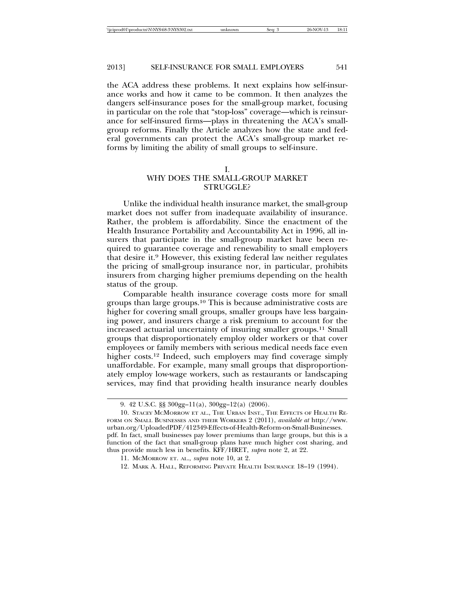the ACA address these problems. It next explains how self-insurance works and how it came to be common. It then analyzes the dangers self-insurance poses for the small-group market, focusing in particular on the role that "stop-loss" coverage—which is reinsurance for self-insured firms—plays in threatening the ACA's smallgroup reforms. Finally the Article analyzes how the state and federal governments can protect the ACA's small-group market reforms by limiting the ability of small groups to self-insure.

# WHY DOES THE SMALL-GROUP MARKET STRUGGLE?

Unlike the individual health insurance market, the small-group market does not suffer from inadequate availability of insurance. Rather, the problem is affordability. Since the enactment of the Health Insurance Portability and Accountability Act in 1996, all insurers that participate in the small-group market have been required to guarantee coverage and renewability to small employers that desire it.9 However, this existing federal law neither regulates the pricing of small-group insurance nor, in particular, prohibits insurers from charging higher premiums depending on the health status of the group.

Comparable health insurance coverage costs more for small groups than large groups.10 This is because administrative costs are higher for covering small groups, smaller groups have less bargaining power, and insurers charge a risk premium to account for the increased actuarial uncertainty of insuring smaller groups.11 Small groups that disproportionately employ older workers or that cover employees or family members with serious medical needs face even higher costs.<sup>12</sup> Indeed, such employers may find coverage simply unaffordable. For example, many small groups that disproportionately employ low-wage workers, such as restaurants or landscaping services, may find that providing health insurance nearly doubles

I.

<sup>9. 42</sup> U.S.C. §§ 300gg–11(a), 300gg–12(a) (2006).

<sup>10.</sup> STACEY MCMORROW ET AL., THE URBAN INST., THE EFFECTS OF HEALTH RE-FORM ON SMALL BUSINESSES AND THEIR WORKERS 2 (2011), *available at* http://www. urban.org/UploadedPDF/412349-Effects-of-Health-Reform-on-Small-Businesses. pdf. In fact, small businesses pay lower premiums than large groups, but this is a function of the fact that small-group plans have much higher cost sharing, and thus provide much less in benefits. KFF/HRET, *supra* note 2, at 22.

<sup>11.</sup> MCMORROW ET. AL., *supra* note 10, at 2.

<sup>12.</sup> MARK A. HALL, REFORMING PRIVATE HEALTH INSURANCE 18–19 (1994).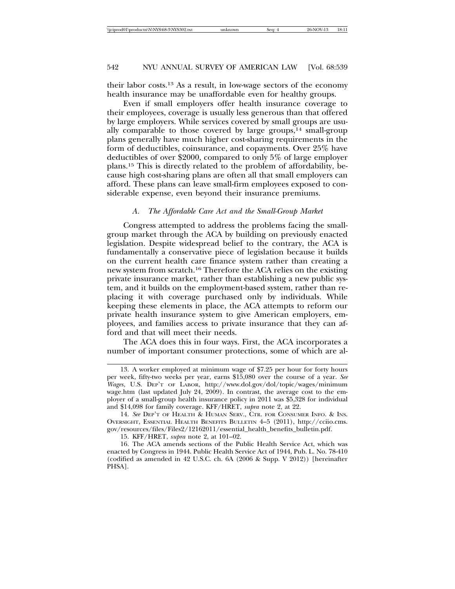their labor costs.13 As a result, in low-wage sectors of the economy health insurance may be unaffordable even for healthy groups.

Even if small employers offer health insurance coverage to their employees, coverage is usually less generous than that offered by large employers. While services covered by small groups are usually comparable to those covered by large groups, $14$  small-group plans generally have much higher cost-sharing requirements in the form of deductibles, coinsurance, and copayments. Over 25% have deductibles of over \$2000, compared to only 5% of large employer plans.15 This is directly related to the problem of affordability, because high cost-sharing plans are often all that small employers can afford. These plans can leave small-firm employees exposed to considerable expense, even beyond their insurance premiums.

#### *A. The Affordable Care Act and the Small-Group Market*

Congress attempted to address the problems facing the smallgroup market through the ACA by building on previously enacted legislation. Despite widespread belief to the contrary, the ACA is fundamentally a conservative piece of legislation because it builds on the current health care finance system rather than creating a new system from scratch.16 Therefore the ACA relies on the existing private insurance market, rather than establishing a new public system, and it builds on the employment-based system, rather than replacing it with coverage purchased only by individuals. While keeping these elements in place, the ACA attempts to reform our private health insurance system to give American employers, employees, and families access to private insurance that they can afford and that will meet their needs.

The ACA does this in four ways. First, the ACA incorporates a number of important consumer protections, some of which are al-

<sup>13.</sup> A worker employed at minimum wage of \$7.25 per hour for forty hours per week, fifty-two weeks per year, earns \$15,080 over the course of a year. *See Wages*, U.S. DEP'T OF LABOR, http://www.dol.gov/dol/topic/wages/minimum wage.htm (last updated July 24, 2009). In contrast, the average cost to the employer of a small-group health insurance policy in 2011 was \$5,328 for individual and \$14,098 for family coverage. KFF/HRET, *supra* note 2, at 22.

<sup>14.</sup> *See* DEP'T OF HEALTH & HUMAN SERV., CTR. FOR CONSUMER INFO. & INS. OVERSIGHT, ESSENTIAL HEALTH BENEFITS BULLETIN 4–5 (2011), http://cciio.cms. gov/resources/files/Files2/12162011/essential\_health\_benefits\_bulletin.pdf.

<sup>15.</sup> KFF/HRET, *supra* note 2, at 101–02.

<sup>16.</sup> The ACA amends sections of the Public Health Service Act, which was enacted by Congress in 1944. Public Health Service Act of 1944, Pub. L. No. 78-410 (codified as amended in 42 U.S.C. ch. 6A (2006 & Supp. V 2012)) [hereinafter PHSA].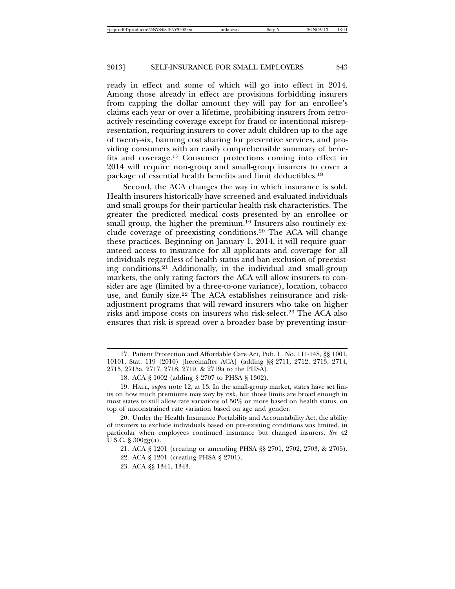ready in effect and some of which will go into effect in 2014. Among those already in effect are provisions forbidding insurers from capping the dollar amount they will pay for an enrollee's claims each year or over a lifetime, prohibiting insurers from retroactively rescinding coverage except for fraud or intentional misrepresentation, requiring insurers to cover adult children up to the age of twenty-six, banning cost sharing for preventive services, and providing consumers with an easily comprehensible summary of benefits and coverage.17 Consumer protections coming into effect in 2014 will require non-group and small-group insurers to cover a package of essential health benefits and limit deductibles.18

Second, the ACA changes the way in which insurance is sold. Health insurers historically have screened and evaluated individuals and small groups for their particular health risk characteristics. The greater the predicted medical costs presented by an enrollee or small group, the higher the premium.<sup>19</sup> Insurers also routinely exclude coverage of preexisting conditions.20 The ACA will change these practices. Beginning on January 1, 2014, it will require guaranteed access to insurance for all applicants and coverage for all individuals regardless of health status and ban exclusion of preexisting conditions.21 Additionally, in the individual and small-group markets, the only rating factors the ACA will allow insurers to consider are age (limited by a three-to-one variance), location, tobacco use, and family size.<sup>22</sup> The ACA establishes reinsurance and riskadjustment programs that will reward insurers who take on higher risks and impose costs on insurers who risk-select.23 The ACA also ensures that risk is spread over a broader base by preventing insur-

- 22. ACA § 1201 (creating PHSA § 2701).
- 23. ACA §§ 1341, 1343.

<sup>17.</sup> Patient Protection and Affordable Care Act, Pub. L. No. 111-148, §§ 1001, 10101, Stat. 119 (2010) [hereinafter ACA] (adding §§ 2711, 2712, 2713, 2714, 2715, 2715a, 2717, 2718, 2719, & 2719a to the PHSA).

<sup>18.</sup> ACA § 1002 (adding § 2707 to PHSA § 1302).

<sup>19.</sup> HALL, *supra* note 12, at 13. In the small-group market, states have set limits on how much premiums may vary by risk, but those limits are broad enough in most states to still allow rate variations of 50% or more based on health status, on top of unconstrained rate variation based on age and gender.

<sup>20.</sup> Under the Health Insurance Portability and Accountability Act, the ability of insurers to exclude individuals based on pre-existing conditions was limited, in particular when employees continued insurance but changed insurers. *See* 42 U.S.C. § 300gg(a).

<sup>21.</sup> ACA § 1201 (creating or amending PHSA §§ 2701, 2702, 2703, & 2705).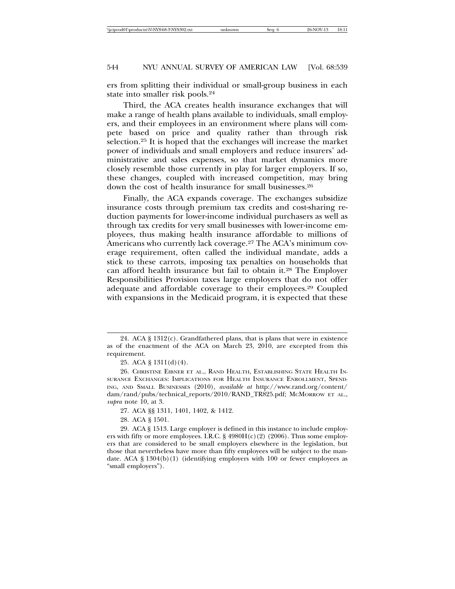ers from splitting their individual or small-group business in each state into smaller risk pools.24

Third, the ACA creates health insurance exchanges that will make a range of health plans available to individuals, small employers, and their employees in an environment where plans will compete based on price and quality rather than through risk selection.25 It is hoped that the exchanges will increase the market power of individuals and small employers and reduce insurers' administrative and sales expenses, so that market dynamics more closely resemble those currently in play for larger employers. If so, these changes, coupled with increased competition, may bring down the cost of health insurance for small businesses.26

Finally, the ACA expands coverage. The exchanges subsidize insurance costs through premium tax credits and cost-sharing reduction payments for lower-income individual purchasers as well as through tax credits for very small businesses with lower-income employees, thus making health insurance affordable to millions of Americans who currently lack coverage.27 The ACA's minimum coverage requirement, often called the individual mandate, adds a stick to these carrots, imposing tax penalties on households that can afford health insurance but fail to obtain it.28 The Employer Responsibilities Provision taxes large employers that do not offer adequate and affordable coverage to their employees.29 Coupled with expansions in the Medicaid program, it is expected that these

<sup>24.</sup> ACA  $\S 1312(c)$ . Grandfathered plans, that is plans that were in existence as of the enactment of the ACA on March 23, 2010, are excepted from this requirement.

<sup>25.</sup> ACA § 1311(d)(4).

<sup>26.</sup> CHRISTINE EIBNER ET AL., RAND HEALTH, ESTABLISHING STATE HEALTH IN-SURANCE EXCHANGES: IMPLICATIONS FOR HEALTH INSURANCE ENROLLMENT, SPEND-ING, AND SMALL BUSINESSES (2010), *available at* http://www.rand.org/content/ dam/rand/pubs/technical\_reports/2010/RAND\_TR825.pdf; MCMORROW ET AL., *supra* note 10, at 3.

<sup>27.</sup> ACA §§ 1311, 1401, 1402, & 1412.

<sup>28.</sup> ACA § 1501.

<sup>29.</sup> ACA § 1513. Large employer is defined in this instance to include employers with fifty or more employees. I.R.C. § 4980H(c)(2) (2006). Thus some employers that are considered to be small employers elsewhere in the legislation, but those that nevertheless have more than fifty employees will be subject to the mandate. ACA  $\S$  1304(b)(1) (identifying employers with 100 or fewer employees as "small employers").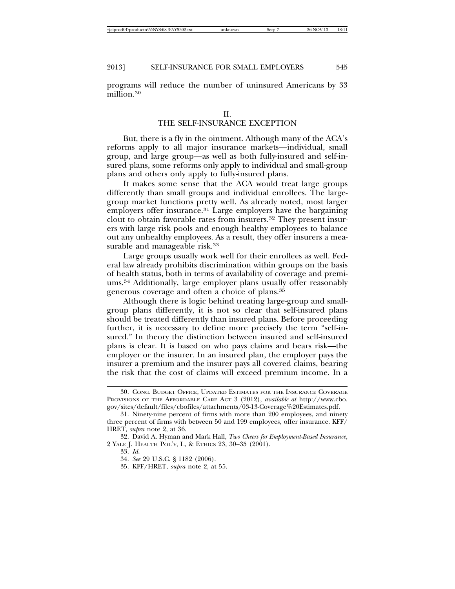programs will reduce the number of uninsured Americans by 33 million.30

### II.

# THE SELF-INSURANCE EXCEPTION

But, there is a fly in the ointment. Although many of the ACA's reforms apply to all major insurance markets—individual, small group, and large group—as well as both fully-insured and self-insured plans, some reforms only apply to individual and small-group plans and others only apply to fully-insured plans.

It makes some sense that the ACA would treat large groups differently than small groups and individual enrollees. The largegroup market functions pretty well. As already noted, most larger employers offer insurance.<sup>31</sup> Large employers have the bargaining clout to obtain favorable rates from insurers.32 They present insurers with large risk pools and enough healthy employees to balance out any unhealthy employees. As a result, they offer insurers a measurable and manageable risk.<sup>33</sup>

Large groups usually work well for their enrollees as well. Federal law already prohibits discrimination within groups on the basis of health status, both in terms of availability of coverage and premiums.34 Additionally, large employer plans usually offer reasonably generous coverage and often a choice of plans.35

Although there is logic behind treating large-group and smallgroup plans differently, it is not so clear that self-insured plans should be treated differently than insured plans. Before proceeding further, it is necessary to define more precisely the term "self-insured." In theory the distinction between insured and self-insured plans is clear. It is based on who pays claims and bears risk—the employer or the insurer. In an insured plan, the employer pays the insurer a premium and the insurer pays all covered claims, bearing the risk that the cost of claims will exceed premium income. In a

<sup>30.</sup> CONG. BUDGET OFFICE, UPDATED ESTIMATES FOR THE INSURANCE COVERAGE PROVISIONS OF THE AFFORDABLE CARE ACT 3 (2012), *available at* http://www.cbo. gov/sites/default/files/cbofiles/attachments/03-13-Coverage%20Estimates.pdf.

<sup>31.</sup> Ninety-nine percent of firms with more than 200 employees, and ninety three percent of firms with between 50 and 199 employees, offer insurance. KFF/ HRET, *supra* note 2, at 36.

<sup>32.</sup> David A. Hyman and Mark Hall, *Two Cheers for Employment-Based Insurance*, 2 YALE J. HEALTH POL'Y, L, & ETHICS 23, 30–35 (2001).

<sup>33.</sup> *Id.*

<sup>34.</sup> *See* 29 U.S.C. § 1182 (2006).

<sup>35.</sup> KFF/HRET, *supra* note 2, at 55.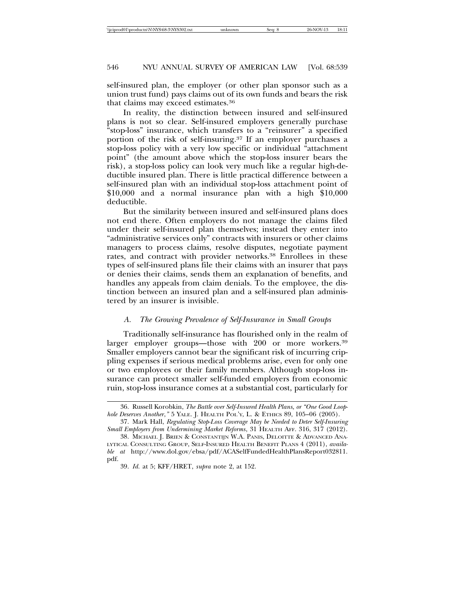self-insured plan, the employer (or other plan sponsor such as a union trust fund) pays claims out of its own funds and bears the risk that claims may exceed estimates.36

In reality, the distinction between insured and self-insured plans is not so clear. Self-insured employers generally purchase "stop-loss" insurance, which transfers to a "reinsurer" a specified portion of the risk of self-insuring.37 If an employer purchases a stop-loss policy with a very low specific or individual "attachment point" (the amount above which the stop-loss insurer bears the risk), a stop-loss policy can look very much like a regular high-deductible insured plan. There is little practical difference between a self-insured plan with an individual stop-loss attachment point of \$10,000 and a normal insurance plan with a high \$10,000 deductible.

But the similarity between insured and self-insured plans does not end there. Often employers do not manage the claims filed under their self-insured plan themselves; instead they enter into "administrative services only" contracts with insurers or other claims managers to process claims, resolve disputes, negotiate payment rates, and contract with provider networks.<sup>38</sup> Enrollees in these types of self-insured plans file their claims with an insurer that pays or denies their claims, sends them an explanation of benefits, and handles any appeals from claim denials. To the employee, the distinction between an insured plan and a self-insured plan administered by an insurer is invisible.

#### *A. The Growing Prevalence of Self-Insurance in Small Groups*

Traditionally self-insurance has flourished only in the realm of larger employer groups—those with 200 or more workers.<sup>39</sup> Smaller employers cannot bear the significant risk of incurring crippling expenses if serious medical problems arise, even for only one or two employees or their family members. Although stop-loss insurance can protect smaller self-funded employers from economic ruin, stop-loss insurance comes at a substantial cost, particularly for

<sup>36.</sup> Russell Korobkin, *The Battle over Self-Insured Health Plans, or "One Good Loophole Deserves Another*,*"* 5 YALE. J. HEALTH POL'Y, L. & ETHICS 89, 105–06 (2005).

<sup>37.</sup> Mark Hall, *Regulating Stop-Loss Coverage May be Needed to Deter Self-Insuring Small Employers from Undermining Market Reforms*, 31 HEALTH AFF. 316, 317 (2012).

<sup>38.</sup> MICHAEL J. BRIEN & CONSTANTIJN W.A. PANIS, DELOITTE & ADVANCED ANA-LYTICAL CONSULTING GROUP, SELF-INSURED HEALTH BENEFIT PLANS 4 (2011), *available at* http://www.dol.gov/ebsa/pdf/ACASelfFundedHealthPlansReport032811. pdf.

<sup>39.</sup> *Id.* at 5; KFF/HRET, *supra* note 2, at 152.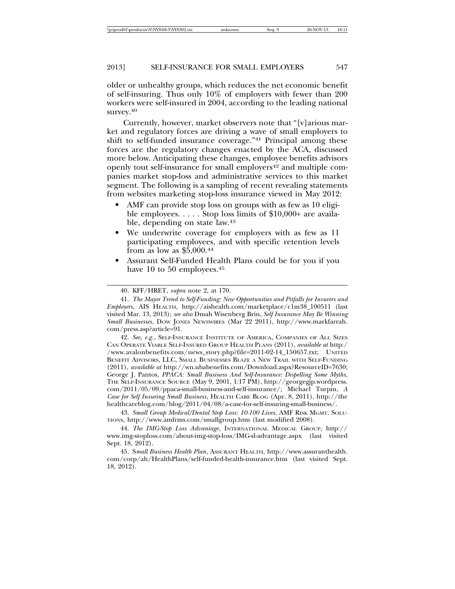older or unhealthy groups, which reduces the net economic benefit of self-insuring. Thus only 10% of employers with fewer than 200 workers were self-insured in 2004, according to the leading national survey.<sup>40</sup>

Currently, however, market observers note that "[v]arious market and regulatory forces are driving a wave of small employers to shift to self-funded insurance coverage."41 Principal among these forces are the regulatory changes enacted by the ACA, discussed more below. Anticipating these changes, employee benefits advisors openly tout self-insurance for small employers<sup>42</sup> and multiple companies market stop-loss and administrative services to this market segment. The following is a sampling of recent revealing statements from websites marketing stop-loss insurance viewed in May 2012:

- AMF can provide stop loss on groups with as few as 10 eligible employees. . . . . Stop loss limits of \$10,000+ are available, depending on state law.43
- We underwrite coverage for employers with as few as 11 participating employees, and with specific retention levels from as low as  $$5,000.44$
- Assurant Self-Funded Health Plans could be for you if you have 10 to 50 employees.<sup>45</sup>

42. *See, e.g.*, SELF-INSURANCE INSTITUTE OF AMERICA, COMPANIES OF ALL SIZES CAN OPERATE VIABLE SELF-INSURED GROUP HEALTH PLANS (2011), *available at* http:/ /www.avalonbenefits.com/news\_story.php?file=2011-02-14\_150657.txt; UNITED BENEFIT ADVISORS, LLC, SMALL BUSINESSES BLAZE A NEW TRAIL WITH SELF-FUNDING (2011), *available at* http://wn.ubabenefits.com/Download.aspx?ResourceID=7630; George J. Pantos, *PPACA: Small Business And Self-Insurance: Dispelling Some Myths*, THE SELF-INSURANCE SOURCE (May 9, 2001, 1:17 PM), http://georgegjp.wordpress. com/2011/05/09/ppaca-small-business-and-self-insurance/; Michael Turpin, *A Case for Self Insuring Small Business*, HEALTH CARE BLOG (Apr. 8, 2011), http://the healthcareblog.com/blog/2011/04/08/a-case-for-self-insuring-small-business/.

43. *Small Group Medical/Dental Stop Loss: 10-100 Lives*, AMF RISK MGMT. SOLU-TIONS, http://www.amfrms.com/smallgroup.htm (last modified 2008).

44. *The IMG-Stop Loss Advantage*, INTERNATIONAL MEDICAL GROUP, http:// www.img-stoploss.com/about-img-stop-loss/IMG-sl-advantage.aspx (last visited Sept. 18, 2012).

45. S*mall Business Health Plan*, ASSURANT HEALTH, http://www.assuranthealth. com/corp/ah/HealthPlans/self-funded-health-insurance.htm (last visited Sept. 18, 2012).

<sup>40.</sup> KFF/HRET, *supra* note 2, at 170.

<sup>41.</sup> *The Major Trend to Self-Funding: New Opportunities and Pitfalls for Insurers and Employers*, AIS HEALTH, http://aishealth.com/marketplace/c1m38\_100511 (last visited Mar. 13, 2013); *see also* Dmah Wisenberg Brin, *Self Insurance May Be Winning Small Businesses*, DOW JONES NEWSWIRES (Mar 22 2011), http://www.markfarrah. com/press.asp?article=91.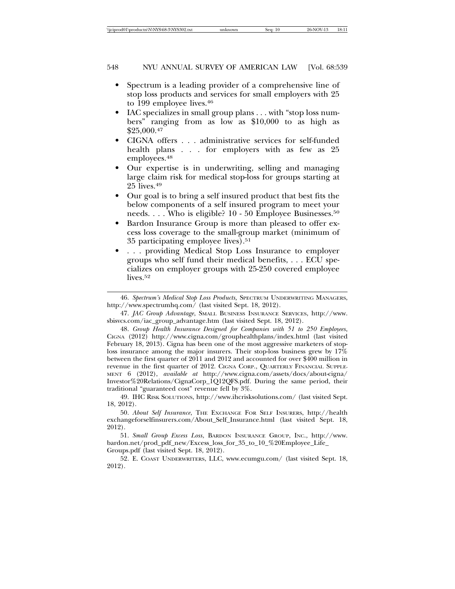- Spectrum is a leading provider of a comprehensive line of stop loss products and services for small employers with 25 to 199 employee lives.<sup>46</sup>
- IAC specializes in small group plans . . . with "stop loss numbers" ranging from as low as \$10,000 to as high as  $$25,000.<sup>47</sup>$
- CIGNA offers . . . administrative services for self-funded health plans . . . for employers with as few as 25 employees.48
- Our expertise is in underwriting, selling and managing large claim risk for medical stop-loss for groups starting at 25 lives.49
- Our goal is to bring a self insured product that best fits the below components of a self insured program to meet your needs. . . . Who is eligible? 10 - 50 Employee Businesses.<sup>50</sup>
- Bardon Insurance Group is more than pleased to offer excess loss coverage to the small-group market (minimum of 35 participating employee lives).51
- . . . providing Medical Stop Loss Insurance to employer groups who self fund their medical benefits, . . . ECU specializes on employer groups with 25-250 covered employee lives.<sup>52</sup>

47. *JAC Group Advantage*, SMALL BUSINESS INSURANCE SERVICES, http://www. sbisvcs.com/iac\_group\_advantage.htm (last visited Sept. 18, 2012).

48. *Group Health Insurance Designed for Companies with 51 to 250 Employees*, CIGNA (2012) http://www.cigna.com/grouphealthplans/index.html (last visited February 18, 2013). Cigna has been one of the most aggressive marketers of stoploss insurance among the major insurers. Their stop-loss business grew by 17% between the first quarter of 2011 and 2012 and accounted for over \$400 million in revenue in the first quarter of 2012. CIGNA CORP., QUARTERLY FINANCIAL SUPPLE-MENT 6 (2012), *available at* http://www.cigna.com/assets/docs/about-cigna/ Investor%20Relations/CignaCorp\_1Q12QFS.pdf. During the same period, their traditional "guaranteed cost" revenue fell by 3%.

49. IHC RISK SOLUTIONS, http://www.ihcrisksolutions.com/ (last visited Sept. 18, 2012).

50. *About Self Insurance*, THE EXCHANGE FOR SELF INSURERS, http://health exchangeforselfinsurers.com/About\_Self\_Insurance.html (last visited Sept. 18, 2012).

51. *Small Group Excess Loss*, BARDON INSURANCE GROUP, INC., http://www. bardon.net/prod\_pdf\_new/Excess\_loss\_for\_35\_to\_10\_%20Employee\_Life\_ Groups.pdf (last visited Sept. 18, 2012).

52. E. COAST UNDERWRITERS, LLC, www.ecumgu.com/ (last visited Sept. 18, 2012).

<sup>46.</sup> *Spectrum's Medical Stop Loss Products,* SPECTRUM UNDERWRITING MANAGERS, http://www.spectrumhq.com/ (last visited Sept. 18, 2012).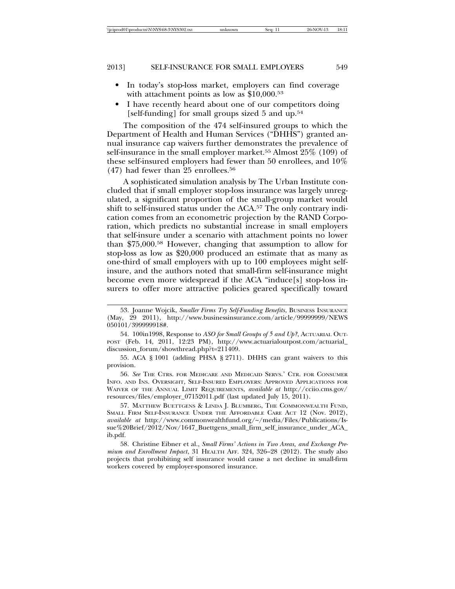- In today's stop-loss market, employers can find coverage with attachment points as low as \$10,000.<sup>53</sup>
- I have recently heard about one of our competitors doing [self-funding] for small groups sized 5 and up.<sup>54</sup>

The composition of the 474 self-insured groups to which the Department of Health and Human Services ("DHHS") granted annual insurance cap waivers further demonstrates the prevalence of self-insurance in the small employer market.55 Almost 25% (109) of these self-insured employers had fewer than 50 enrollees, and 10%  $(47)$  had fewer than 25 enrollees.<sup>56</sup>

A sophisticated simulation analysis by The Urban Institute concluded that if small employer stop-loss insurance was largely unregulated, a significant proportion of the small-group market would shift to self-insured status under the ACA.57 The only contrary indication comes from an econometric projection by the RAND Corporation, which predicts no substantial increase in small employers that self-insure under a scenario with attachment points no lower than \$75,000.58 However, changing that assumption to allow for stop-loss as low as \$20,000 produced an estimate that as many as one-third of small employers with up to 100 employees might selfinsure, and the authors noted that small-firm self-insurance might become even more widespread if the ACA "induce[s] stop-loss insurers to offer more attractive policies geared specifically toward

56. *See* THE CTRS. FOR MEDICARE AND MEDICAID SERVS.' CTR. FOR CONSUMER INFO. AND INS. OVERSIGHT, SELF-INSURED EMPLOYERS: APPROVED APPLICATIONS FOR WAIVER OF THE ANNUAL LIMIT REQUIREMENTS, *available at* http://cciio.cms.gov/ resources/files/employer\_07152011.pdf (last updated July 15, 2011).

57. MATTHEW BUETTGENS & LINDA J. BLUMBERG, THE COMMONWEALTH FUND, SMALL FIRM SELF-INSURANCE UNDER THE AFFORDABLE CARE ACT 12 (Nov. 2012), *available at* http://www.commonwealthfund.org/~/media/Files/Publications/Issue%20Brief/2012/Nov/1647\_Buettgens\_small\_firm\_self\_insurance\_under\_ACA\_ ib.pdf.

58. Christine Eibner et al., *Small Firms' Actions in Two Areas, and Exchange Premium and Enrollment Impact*, 31 HEALTH AFF. 324, 326–28 (2012). The study also projects that prohibiting self insurance would cause a net decline in small-firm workers covered by employer-sponsored insurance.

<sup>53.</sup> Joanne Wojcik, *Smaller Firms Try Self-Funding Benefits*, BUSINESS INSURANCE (May, 29 2011), http://www.businessinsurance.com/article/99999999/NEWS 050101/399999918#.

<sup>54. 100</sup>in1998, Response to *ASO for Small Groups of 5 and Up?*, ACTUARIAL OUT-POST (Feb. 14, 2011, 12:23 PM), http://www.actuarialoutpost.com/actuarial\_ discussion\_forum/showthread.php?t=211409.

<sup>55.</sup> ACA § 1001 (adding PHSA § 2711). DHHS can grant waivers to this provision.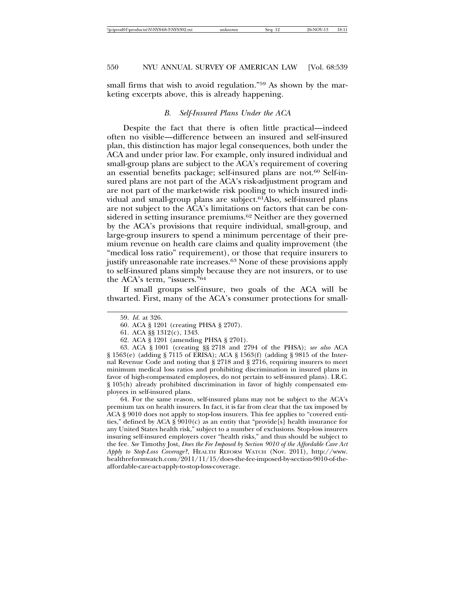small firms that wish to avoid regulation."59 As shown by the marketing excerpts above, this is already happening.

# *B. Self-Insured Plans Under the ACA*

Despite the fact that there is often little practical—indeed often no visible—difference between an insured and self-insured plan, this distinction has major legal consequences, both under the ACA and under prior law. For example, only insured individual and small-group plans are subject to the ACA's requirement of covering an essential benefits package; self-insured plans are not.60 Self-insured plans are not part of the ACA's risk-adjustment program and are not part of the market-wide risk pooling to which insured individual and small-group plans are subject.61Also, self-insured plans are not subject to the ACA's limitations on factors that can be considered in setting insurance premiums.<sup>62</sup> Neither are they governed by the ACA's provisions that require individual, small-group, and large-group insurers to spend a minimum percentage of their premium revenue on health care claims and quality improvement (the "medical loss ratio" requirement), or those that require insurers to justify unreasonable rate increases.63 None of these provisions apply to self-insured plans simply because they are not insurers, or to use the ACA's term, "issuers."64

If small groups self-insure, two goals of the ACA will be thwarted. First, many of the ACA's consumer protections for small-

64. For the same reason, self-insured plans may not be subject to the ACA's premium tax on health insurers. In fact, it is far from clear that the tax imposed by ACA § 9010 does not apply to stop-loss insurers. This fee applies to "covered entities," defined by ACA § 9010(c) as an entity that "provide[s] health insurance for any United States health risk," subject to a number of exclusions. Stop-loss insurers insuring self-insured employers cover "health risks," and thus should be subject to the fee. *See* Timothy Jost, *Does the Fee Imposed by Section 9010 of the Affordable Care Act Apply to Stop-Loss Coverage?*, HEALTH REFORM WATCH (Nov. 2011), http://www. healthreformwatch.com/2011/11/15/does-the-fee-imposed-by-section-9010-of-theaffordable-care-act-apply-to-stop-loss-coverage.

<sup>59.</sup> *Id.* at 326.

<sup>60.</sup> ACA § 1201 (creating PHSA § 2707).

<sup>61.</sup> ACA §§ 1312(c), 1343.

<sup>62.</sup> ACA § 1201 (amending PHSA § 2701).

<sup>63.</sup> ACA § 1001 (creating §§ 2718 and 2794 of the PHSA); *see also* ACA § 1563(e) (adding § 7115 of ERISA); ACA § 1563(f) (adding § 9815 of the Internal Revenue Code and noting that § 2718 and § 2716, requiring insurers to meet minimum medical loss ratios and prohibiting discrimination in insured plans in favor of high-compensated employees, do not pertain to self-insured plans). I.R.C. § 105(h) already prohibited discrimination in favor of highly compensated employees in self-insured plans.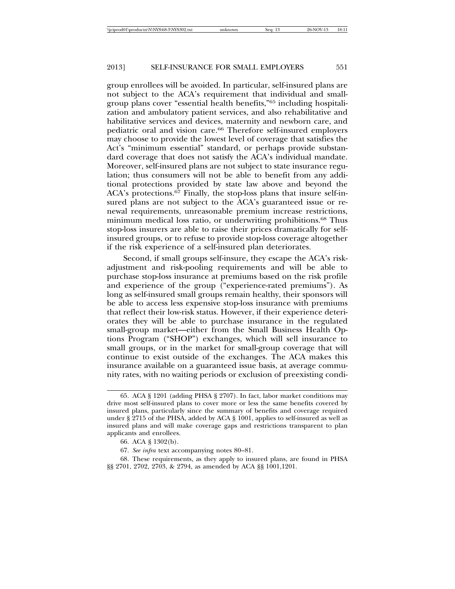group enrollees will be avoided. In particular, self-insured plans are not subject to the ACA's requirement that individual and smallgroup plans cover "essential health benefits,"65 including hospitalization and ambulatory patient services, and also rehabilitative and habilitative services and devices, maternity and newborn care, and pediatric oral and vision care.66 Therefore self-insured employers may choose to provide the lowest level of coverage that satisfies the Act's "minimum essential" standard, or perhaps provide substandard coverage that does not satisfy the ACA's individual mandate. Moreover, self-insured plans are not subject to state insurance regulation; thus consumers will not be able to benefit from any additional protections provided by state law above and beyond the ACA's protections.67 Finally, the stop-loss plans that insure self-insured plans are not subject to the ACA's guaranteed issue or renewal requirements, unreasonable premium increase restrictions, minimum medical loss ratio, or underwriting prohibitions.68 Thus stop-loss insurers are able to raise their prices dramatically for selfinsured groups, or to refuse to provide stop-loss coverage altogether if the risk experience of a self-insured plan deteriorates.

Second, if small groups self-insure, they escape the ACA's riskadjustment and risk-pooling requirements and will be able to purchase stop-loss insurance at premiums based on the risk profile and experience of the group ("experience-rated premiums"). As long as self-insured small groups remain healthy, their sponsors will be able to access less expensive stop-loss insurance with premiums that reflect their low-risk status. However, if their experience deteriorates they will be able to purchase insurance in the regulated small-group market—either from the Small Business Health Options Program ("SHOP") exchanges, which will sell insurance to small groups, or in the market for small-group coverage that will continue to exist outside of the exchanges. The ACA makes this insurance available on a guaranteed issue basis, at average community rates, with no waiting periods or exclusion of preexisting condi-

<sup>65.</sup> ACA § 1201 (adding PHSA § 2707). In fact, labor market conditions may drive most self-insured plans to cover more or less the same benefits covered by insured plans, particularly since the summary of benefits and coverage required under § 2715 of the PHSA, added by ACA § 1001, applies to self-insured as well as insured plans and will make coverage gaps and restrictions transparent to plan applicants and enrollees.

<sup>66.</sup> ACA § 1302(b).

<sup>67.</sup> *See infra* text accompanying notes 80–81.

<sup>68.</sup> These requirements, as they apply to insured plans, are found in PHSA §§ 2701, 2702, 2703, & 2794, as amended by ACA §§ 1001,1201.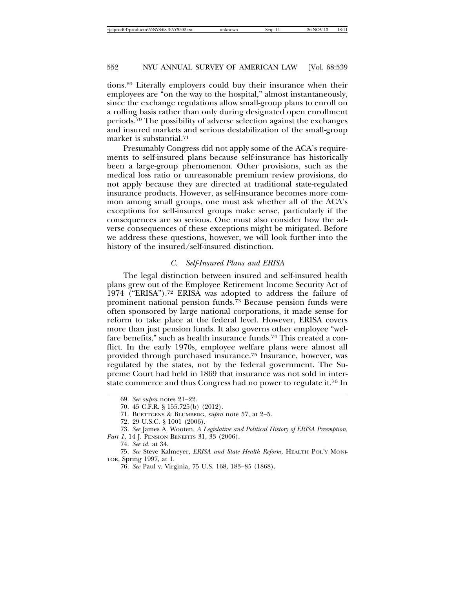tions.69 Literally employers could buy their insurance when their employees are "on the way to the hospital," almost instantaneously, since the exchange regulations allow small-group plans to enroll on a rolling basis rather than only during designated open enrollment periods.70 The possibility of adverse selection against the exchanges and insured markets and serious destabilization of the small-group market is substantial.71

Presumably Congress did not apply some of the ACA's requirements to self-insured plans because self-insurance has historically been a large-group phenomenon. Other provisions, such as the medical loss ratio or unreasonable premium review provisions, do not apply because they are directed at traditional state-regulated insurance products. However, as self-insurance becomes more common among small groups, one must ask whether all of the ACA's exceptions for self-insured groups make sense, particularly if the consequences are so serious. One must also consider how the adverse consequences of these exceptions might be mitigated. Before we address these questions, however, we will look further into the history of the insured/self-insured distinction.

#### *C. Self-Insured Plans and ERISA*

The legal distinction between insured and self-insured health plans grew out of the Employee Retirement Income Security Act of 1974 ("ERISA").72 ERISA was adopted to address the failure of prominent national pension funds.73 Because pension funds were often sponsored by large national corporations, it made sense for reform to take place at the federal level. However, ERISA covers more than just pension funds. It also governs other employee "welfare benefits," such as health insurance funds.74 This created a conflict. In the early 1970s, employee welfare plans were almost all provided through purchased insurance.75 Insurance, however, was regulated by the states, not by the federal government. The Supreme Court had held in 1869 that insurance was not sold in interstate commerce and thus Congress had no power to regulate it.76 In

73. *See* James A. Wooten, *A Legislative and Political History of ERISA Preemption, Part 1*, 14 J. PENSION BENEFITS 31, 33 (2006).

<sup>69.</sup> *See supra* notes 21–22.

<sup>70. 45</sup> C.F.R. § 155.725(b) (2012).

<sup>71.</sup> BUETTGENS & BLUMBERG, *supra* note 57, at 2–5.

<sup>72. 29</sup> U.S.C. § 1001 (2006).

<sup>74.</sup> *See id.* at 34.

<sup>75.</sup> *See* Steve Kalmeyer, *ERISA and State Health Reform*, HEALTH POL'Y MONI-TOR, Spring 1997, at 1.

<sup>76.</sup> *See* Paul v. Virginia, 75 U.S. 168, 183–85 (1868).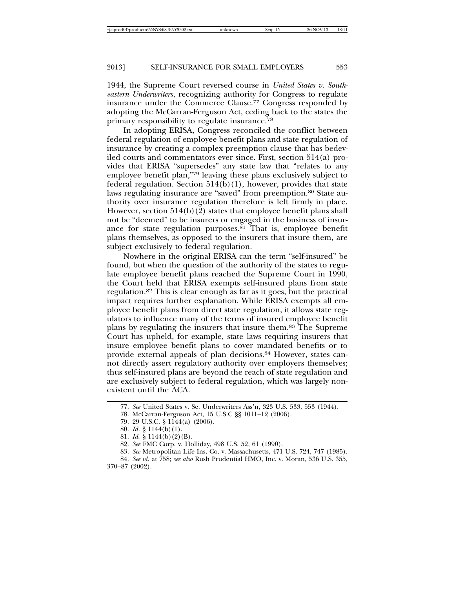1944, the Supreme Court reversed course in *United States v. Southeastern Underwriters*, recognizing authority for Congress to regulate insurance under the Commerce Clause.77 Congress responded by adopting the McCarran-Ferguson Act, ceding back to the states the primary responsibility to regulate insurance.78

In adopting ERISA, Congress reconciled the conflict between federal regulation of employee benefit plans and state regulation of insurance by creating a complex preemption clause that has bedeviled courts and commentators ever since. First, section 514(a) provides that ERISA "supersedes" any state law that "relates to any employee benefit plan,"79 leaving these plans exclusively subject to federal regulation. Section  $514(b)(1)$ , however, provides that state laws regulating insurance are "saved" from preemption.<sup>80</sup> State authority over insurance regulation therefore is left firmly in place. However, section  $514(b)(2)$  states that employee benefit plans shall not be "deemed" to be insurers or engaged in the business of insurance for state regulation purposes.81 That is, employee benefit plans themselves, as opposed to the insurers that insure them, are subject exclusively to federal regulation.

Nowhere in the original ERISA can the term "self-insured" be found, but when the question of the authority of the states to regulate employee benefit plans reached the Supreme Court in 1990, the Court held that ERISA exempts self-insured plans from state regulation.82 This is clear enough as far as it goes, but the practical impact requires further explanation. While ERISA exempts all employee benefit plans from direct state regulation, it allows state regulators to influence many of the terms of insured employee benefit plans by regulating the insurers that insure them.83 The Supreme Court has upheld, for example, state laws requiring insurers that insure employee benefit plans to cover mandated benefits or to provide external appeals of plan decisions.84 However, states cannot directly assert regulatory authority over employers themselves; thus self-insured plans are beyond the reach of state regulation and are exclusively subject to federal regulation, which was largely nonexistent until the ACA.

<sup>77.</sup> *See* United States v. Se. Underwriters Ass'n, 323 U.S. 533, 553 (1944).

<sup>78.</sup> McCarran-Ferguson Act, 15 U.S.C §§ 1011–12 (2006).

<sup>79. 29</sup> U.S.C. § 1144(a) (2006).

<sup>80.</sup> *Id*. § 1144(b)(1).

<sup>81.</sup> *Id.* § 1144(b)(2)(B).

<sup>82.</sup> *See* FMC Corp. v. Holliday, 498 U.S. 52, 61 (1990).

<sup>83.</sup> *See* Metropolitan Life Ins. Co. v. Massachusetts, 471 U.S. 724, 747 (1985).

<sup>84.</sup> *See id.* at 758; *see also* Rush Prudential HMO, Inc. v. Moran, 536 U.S. 355, 370–87 (2002).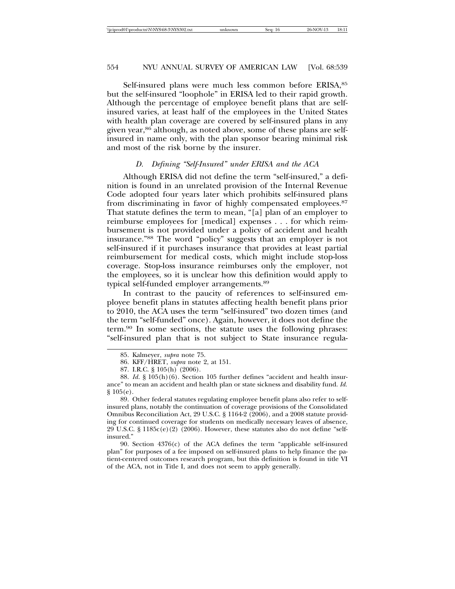Self-insured plans were much less common before ERISA, 85 but the self-insured "loophole" in ERISA led to their rapid growth. Although the percentage of employee benefit plans that are selfinsured varies, at least half of the employees in the United States with health plan coverage are covered by self-insured plans in any given year,<sup>86</sup> although, as noted above, some of these plans are selfinsured in name only, with the plan sponsor bearing minimal risk and most of the risk borne by the insurer.

# *D. Defining "Self-Insured" under ERISA and the ACA*

Although ERISA did not define the term "self-insured," a definition is found in an unrelated provision of the Internal Revenue Code adopted four years later which prohibits self-insured plans from discriminating in favor of highly compensated employees.87 That statute defines the term to mean, "[a] plan of an employer to reimburse employees for [medical] expenses . . . for which reimbursement is not provided under a policy of accident and health insurance."88 The word "policy" suggests that an employer is not self-insured if it purchases insurance that provides at least partial reimbursement for medical costs, which might include stop-loss coverage. Stop-loss insurance reimburses only the employer, not the employees, so it is unclear how this definition would apply to typical self-funded employer arrangements.89

In contrast to the paucity of references to self-insured employee benefit plans in statutes affecting health benefit plans prior to 2010, the ACA uses the term "self-insured" two dozen times (and the term "self-funded" once). Again, however, it does not define the term.90 In some sections, the statute uses the following phrases: "self-insured plan that is not subject to State insurance regula-

90. Section 4376(c) of the ACA defines the term "applicable self-insured plan" for purposes of a fee imposed on self-insured plans to help finance the patient-centered outcomes research program, but this definition is found in title VI of the ACA, not in Title I, and does not seem to apply generally.

<sup>85.</sup> Kalmeyer, *supra* note 75.

<sup>86.</sup> KFF/HRET, *supra* note 2, at 151.

<sup>87.</sup> I.R.C. § 105(h) (2006).

<sup>88.</sup> *Id*. § 105(h)(6). Section 105 further defines "accident and health insurance" to mean an accident and health plan or state sickness and disability fund. *Id.* § 105(e).

<sup>89.</sup> Other federal statutes regulating employee benefit plans also refer to selfinsured plans, notably the continuation of coverage provisions of the Consolidated Omnibus Reconciliation Act, 29 U.S.C. § 1164-2 (2006), and a 2008 statute providing for continued coverage for students on medically necessary leaves of absence, 29 U.S.C. § 1185 $c$ (e)(2) (2006). However, these statutes also do not define "selfinsured."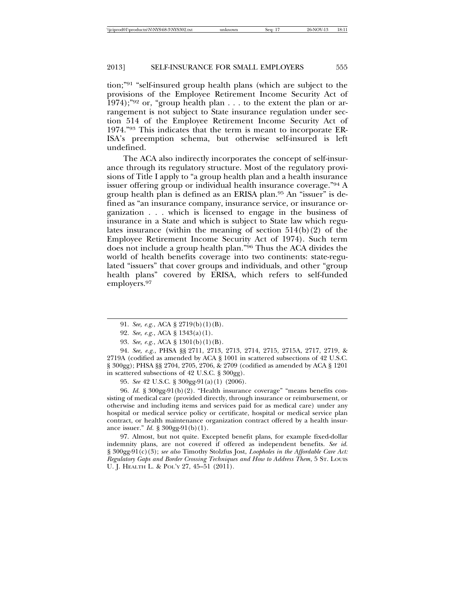tion;"91 "self-insured group health plans (which are subject to the provisions of the Employee Retirement Income Security Act of 1974);"<sup>92</sup> or, "group health plan . . . to the extent the plan or arrangement is not subject to State insurance regulation under section 514 of the Employee Retirement Income Security Act of 1974."93 This indicates that the term is meant to incorporate ER-ISA's preemption schema, but otherwise self-insured is left undefined.

The ACA also indirectly incorporates the concept of self-insurance through its regulatory structure. Most of the regulatory provisions of Title I apply to "a group health plan and a health insurance issuer offering group or individual health insurance coverage."94 A group health plan is defined as an ERISA plan.95 An "issuer" is defined as "an insurance company, insurance service, or insurance organization . . . which is licensed to engage in the business of insurance in a State and which is subject to State law which regulates insurance (within the meaning of section  $514(b)(2)$  of the Employee Retirement Income Security Act of 1974). Such term does not include a group health plan."96 Thus the ACA divides the world of health benefits coverage into two continents: state-regulated "issuers" that cover groups and individuals, and other "group health plans" covered by ERISA, which refers to self-funded employers.97

94. *See, e.g.*, PHSA §§ 2711, 2713, 2713, 2714, 2715, 2715A, 2717, 2719, & 2719A (codified as amended by ACA § 1001 in scattered subsections of 42 U.S.C. § 300gg); PHSA §§ 2704, 2705, 2706, & 2709 (codified as amended by ACA § 1201 in scattered subsections of 42 U.S.C. § 300gg).

95. *See* 42 U.S.C. § 300gg-91(a)(1) (2006).

96. *Id.* § 300gg-91(b)(2). "Health insurance coverage" "means benefits consisting of medical care (provided directly, through insurance or reimbursement, or otherwise and including items and services paid for as medical care) under any hospital or medical service policy or certificate, hospital or medical service plan contract, or health maintenance organization contract offered by a health insurance issuer." *Id.* § 300gg-91(b)(1).

97. Almost, but not quite. Excepted benefit plans, for example fixed-dollar indemnity plans, are not covered if offered as independent benefits. *See id.* § 300gg-91(c)(3); *see also* Timothy Stolzfus Jost, *Loopholes in the Affordable Care Act: Regulatory Gaps and Border Crossing Techniques and How to Address Them*, 5 ST. LOUIS U. J. HEALTH L. & POL'Y 27, 45–51 (2011).

<sup>91.</sup> *See, e.g.*, ACA § 2719(b)(1)(B).

<sup>92.</sup> *See, e.g.*, ACA § 1343(a)(1).

<sup>93.</sup> *See, e.g.*, ACA § 1301(b)(1)(B).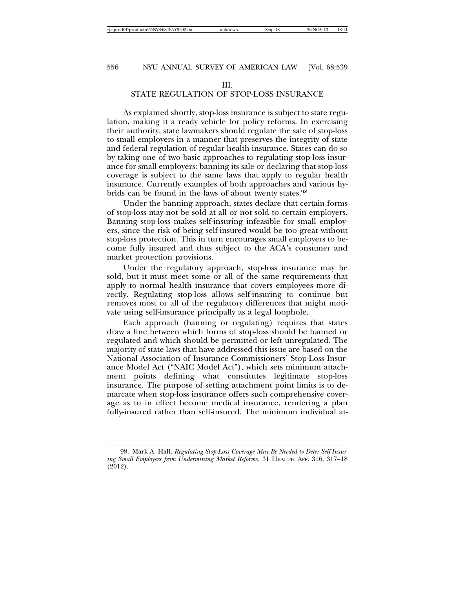# III.

# STATE REGULATION OF STOP-LOSS INSURANCE

As explained shortly, stop-loss insurance is subject to state regulation, making it a ready vehicle for policy reforms. In exercising their authority, state lawmakers should regulate the sale of stop-loss to small employers in a manner that preserves the integrity of state and federal regulation of regular health insurance. States can do so by taking one of two basic approaches to regulating stop-loss insurance for small employers: banning its sale or declaring that stop-loss coverage is subject to the same laws that apply to regular health insurance. Currently examples of both approaches and various hybrids can be found in the laws of about twenty states.98

Under the banning approach, states declare that certain forms of stop-loss may not be sold at all or not sold to certain employers. Banning stop-loss makes self-insuring infeasible for small employers, since the risk of being self-insured would be too great without stop-loss protection. This in turn encourages small employers to become fully insured and thus subject to the ACA's consumer and market protection provisions.

Under the regulatory approach, stop-loss insurance may be sold, but it must meet some or all of the same requirements that apply to normal health insurance that covers employees more directly. Regulating stop-loss allows self-insuring to continue but removes most or all of the regulatory differences that might motivate using self-insurance principally as a legal loophole.

Each approach (banning or regulating) requires that states draw a line between which forms of stop-loss should be banned or regulated and which should be permitted or left unregulated. The majority of state laws that have addressed this issue are based on the National Association of Insurance Commissioners' Stop-Loss Insurance Model Act ("NAIC Model Act"), which sets minimum attachment points defining what constitutes legitimate stop-loss insurance. The purpose of setting attachment point limits is to demarcate when stop-loss insurance offers such comprehensive coverage as to in effect become medical insurance, rendering a plan fully-insured rather than self-insured. The minimum individual at-

<sup>98.</sup> Mark A. Hall, *Regulating Stop-Loss Coverage May Be Needed to Deter Self-Insuring Small Employers from Undermining Market Reforms*, 31 HEALTH AFF. 316, 317–18 (2012).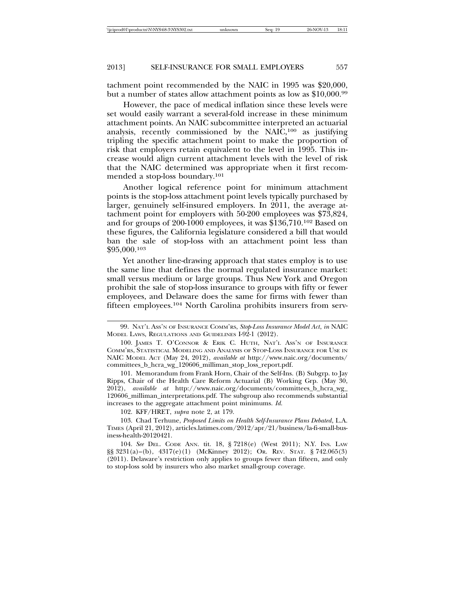tachment point recommended by the NAIC in 1995 was \$20,000, but a number of states allow attachment points as low as \$10,000.99

However, the pace of medical inflation since these levels were set would easily warrant a several-fold increase in these minimum attachment points. An NAIC subcommittee interpreted an actuarial analysis, recently commissioned by the NAIC,100 as justifying tripling the specific attachment point to make the proportion of risk that employers retain equivalent to the level in 1995. This increase would align current attachment levels with the level of risk that the NAIC determined was appropriate when it first recommended a stop-loss boundary.101

Another logical reference point for minimum attachment points is the stop-loss attachment point levels typically purchased by larger, genuinely self-insured employers. In 2011, the average attachment point for employers with 50-200 employees was \$73,824, and for groups of 200-1000 employees, it was \$136,710.102 Based on these figures, the California legislature considered a bill that would ban the sale of stop-loss with an attachment point less than \$95,000.103

Yet another line-drawing approach that states employ is to use the same line that defines the normal regulated insurance market: small versus medium or large groups. Thus New York and Oregon prohibit the sale of stop-loss insurance to groups with fifty or fewer employees, and Delaware does the same for firms with fewer than fifteen employees.104 North Carolina prohibits insurers from serv-

102. KFF/HRET, *supra* note 2, at 179.

103. Chad Terhune, *Proposed Limits on Health Self-Insurance Plans Debated*, L.A. TIMES (April 21, 2012), articles.latimes.com/2012/apr/21/business/la-fi-small-business-health-20120421.

104. *See* DEL. CODE ANN. tit. 18, § 7218(e) (West 2011); N.Y. INS. LAW §§ 3231(a)–(b), 4317(e)(1) (McKinney 2012); OR. REV. STAT. § 742.065(3) (2011). Delaware's restriction only applies to groups fewer than fifteen, and only to stop-loss sold by insurers who also market small-group coverage.

<sup>99.</sup> NAT'L ASS'N OF INSURANCE COMM'RS, *Stop-Loss Insurance Model Act*, *in* NAIC MODEL LAWS, REGULATIONS AND GUIDELINES I-92-1 (2012).

<sup>100.</sup> JAMES T. O'CONNOR & ERIK C. HUTH, NAT'L ASS'N OF INSURANCE COMM'RS, STATISTICAL MODELING AND ANALYSIS OF STOP-LOSS INSURANCE FOR USE IN NAIC MODEL ACT (May 24, 2012), *available at* http://www.naic.org/documents/ committees\_b\_hcra\_wg\_120606\_milliman\_stop\_loss\_report.pdf.

<sup>101.</sup> Memorandum from Frank Horn, Chair of the Self-Ins. (B) Subgrp. to Jay Ripps, Chair of the Health Care Reform Actuarial (B) Working Grp. (May 30, 2012), *available at* http://www.naic.org/documents/committees\_b\_hcra\_wg\_ 120606\_milliman\_interpretations.pdf. The subgroup also recommends substantial increases to the aggregate attachment point minimums. *Id.*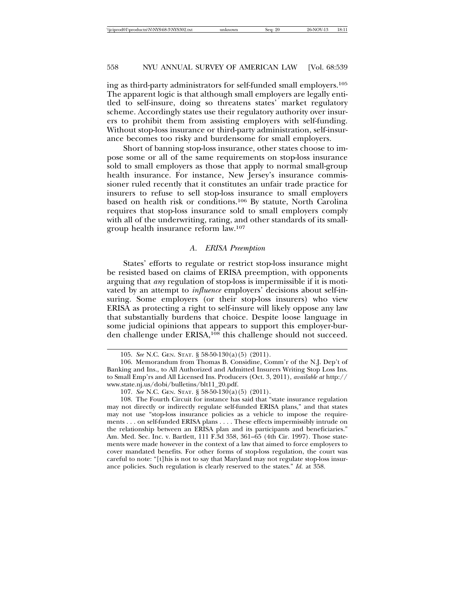ing as third-party administrators for self-funded small employers.105 The apparent logic is that although small employers are legally entitled to self-insure, doing so threatens states' market regulatory scheme. Accordingly states use their regulatory authority over insurers to prohibit them from assisting employers with self-funding. Without stop-loss insurance or third-party administration, self-insurance becomes too risky and burdensome for small employers.

Short of banning stop-loss insurance, other states choose to impose some or all of the same requirements on stop-loss insurance sold to small employers as those that apply to normal small-group health insurance. For instance, New Jersey's insurance commissioner ruled recently that it constitutes an unfair trade practice for insurers to refuse to sell stop-loss insurance to small employers based on health risk or conditions.106 By statute, North Carolina requires that stop-loss insurance sold to small employers comply with all of the underwriting, rating, and other standards of its smallgroup health insurance reform law.107

#### *A. ERISA Preemption*

States' efforts to regulate or restrict stop-loss insurance might be resisted based on claims of ERISA preemption, with opponents arguing that *any* regulation of stop-loss is impermissible if it is motivated by an attempt to *influence* employers' decisions about self-insuring. Some employers (or their stop-loss insurers) who view ERISA as protecting a right to self-insure will likely oppose any law that substantially burdens that choice. Despite loose language in some judicial opinions that appears to support this employer-burden challenge under ERISA,108 this challenge should not succeed.

<sup>105.</sup> *See* N.C. GEN. STAT. § 58-50-130(a)(5) (2011).

<sup>106.</sup> Memorandum from Thomas B. Considine, Comm'r of the N.J. Dep't of Banking and Ins., to All Authorized and Admitted Insurers Writing Stop Loss Ins. to Small Emp'rs and All Licensed Ins. Producers (Oct. 3, 2011), *available at* http:// www.state.nj.us/dobi/bulletins/blt11\_20.pdf.

<sup>107.</sup> *See* N.C. GEN. STAT. § 58-50-130(a)(5) (2011).

<sup>108.</sup> The Fourth Circuit for instance has said that "state insurance regulation may not directly or indirectly regulate self-funded ERISA plans," and that states may not use "stop-loss insurance policies as a vehicle to impose the requirements . . . on self-funded ERISA plans . . . . These effects impermissibly intrude on the relationship between an ERISA plan and its participants and beneficiaries." Am. Med. Sec. Inc. v. Bartlett, 111 F.3d 358, 361–65 (4th Cir. 1997). Those statements were made however in the context of a law that aimed to force employers to cover mandated benefits. For other forms of stop-loss regulation, the court was careful to note: "[t]his is not to say that Maryland may not regulate stop-loss insurance policies. Such regulation is clearly reserved to the states." *Id.* at 358.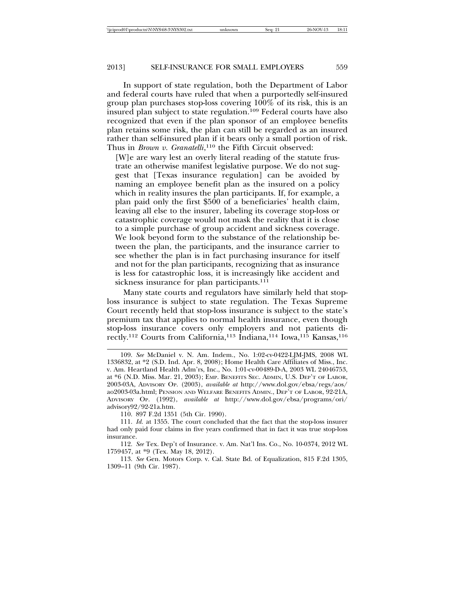In support of state regulation, both the Department of Labor and federal courts have ruled that when a purportedly self-insured group plan purchases stop-loss covering 100% of its risk, this is an insured plan subject to state regulation.109 Federal courts have also recognized that even if the plan sponsor of an employee benefits plan retains some risk, the plan can still be regarded as an insured rather than self-insured plan if it bears only a small portion of risk. Thus in *Brown v. Granatelli*, 110 the Fifth Circuit observed:

[W]e are wary lest an overly literal reading of the statute frustrate an otherwise manifest legislative purpose. We do not suggest that [Texas insurance regulation] can be avoided by naming an employee benefit plan as the insured on a policy which in reality insures the plan participants. If, for example, a plan paid only the first \$500 of a beneficiaries' health claim, leaving all else to the insurer, labeling its coverage stop-loss or catastrophic coverage would not mask the reality that it is close to a simple purchase of group accident and sickness coverage. We look beyond form to the substance of the relationship between the plan, the participants, and the insurance carrier to see whether the plan is in fact purchasing insurance for itself and not for the plan participants, recognizing that as insurance is less for catastrophic loss, it is increasingly like accident and sickness insurance for plan participants.<sup>111</sup>

Many state courts and regulators have similarly held that stoploss insurance is subject to state regulation. The Texas Supreme Court recently held that stop-loss insurance is subject to the state's premium tax that applies to normal health insurance, even though stop-loss insurance covers only employers and not patients directly.<sup>112</sup> Courts from California,<sup>113</sup> Indiana,<sup>114</sup> Iowa,<sup>115</sup> Kansas,<sup>116</sup>

<sup>109.</sup> *See* McDaniel v. N. Am. Indem., No. 1:02-cv-0422-LJM-JMS, 2008 WL 1336832, at \*2 (S.D. Ind. Apr. 8, 2008); Home Health Care Affiliates of Miss., Inc. v. Am. Heartland Health Adm'rs, Inc., No. 1:01-cv-00489-D-A, 2003 WL 24046753, at \*6 (N.D. Miss. Mar. 21, 2003); EMP. BENEFITS SEC. ADMIN, U.S. DEP'T OF LABOR, 2003-03A, ADVISORY OP. (2003), *available at* http://www.dol.gov/ebsa/regs/aos/ ao2003-03a.html; PENSION AND WELFARE BENEFITS ADMIN., DEP'T OF LABOR, 92-21A, ADVISORY OP. (1992), *available at* http://www.dol.gov/ebsa/programs/ori/ advisory92/92-21a.htm.

<sup>110. 897</sup> F.2d 1351 (5th Cir. 1990).

<sup>111.</sup> *Id.* at 1355. The court concluded that the fact that the stop-loss insurer had only paid four claims in five years confirmed that in fact it was true stop-loss insurance.

<sup>112.</sup> *See* Tex. Dep't of Insurance. v. Am. Nat'l Ins. Co., No. 10-0374, 2012 WL 1759457, at \*9 (Tex. May 18, 2012).

<sup>113.</sup> *See* Gen. Motors Corp. v. Cal. State Bd. of Equalization, 815 F.2d 1305, 1309–11 (9th Cir. 1987).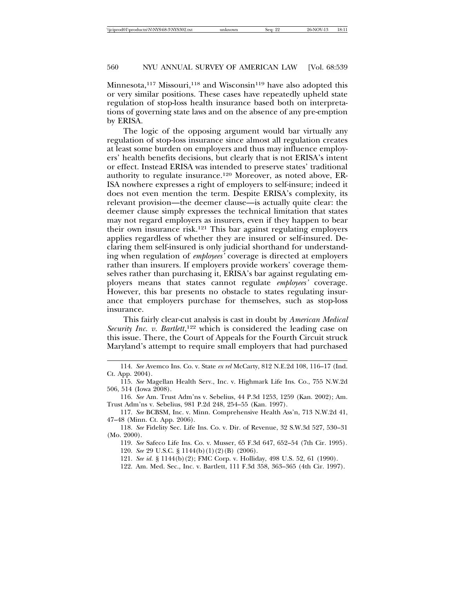Minnesota,<sup>117</sup> Missouri,<sup>118</sup> and Wisconsin<sup>119</sup> have also adopted this or very similar positions. These cases have repeatedly upheld state regulation of stop-loss health insurance based both on interpretations of governing state laws and on the absence of any pre-emption by ERISA.

The logic of the opposing argument would bar virtually any regulation of stop-loss insurance since almost all regulation creates at least some burden on employers and thus may influence employers' health benefits decisions, but clearly that is not ERISA's intent or effect. Instead ERISA was intended to preserve states' traditional authority to regulate insurance.120 Moreover, as noted above, ER-ISA nowhere expresses a right of employers to self-insure; indeed it does not even mention the term. Despite ERISA's complexity, its relevant provision—the deemer clause—is actually quite clear: the deemer clause simply expresses the technical limitation that states may not regard employers as insurers, even if they happen to bear their own insurance risk.121 This bar against regulating employers applies regardless of whether they are insured or self-insured. Declaring them self-insured is only judicial shorthand for understanding when regulation of *employees'* coverage is directed at employers rather than insurers. If employers provide workers' coverage themselves rather than purchasing it, ERISA's bar against regulating employers means that states cannot regulate *employees'* coverage. However, this bar presents no obstacle to states regulating insurance that employers purchase for themselves, such as stop-loss insurance.

This fairly clear-cut analysis is cast in doubt by *American Medical* Security Inc. v. Bartlett,<sup>122</sup> which is considered the leading case on this issue. There, the Court of Appeals for the Fourth Circuit struck Maryland's attempt to require small employers that had purchased

<sup>114.</sup> *See* Avemco Ins. Co. v. State *ex rel* McCarty, 812 N.E.2d 108, 116–17 (Ind. Ct. App. 2004).

<sup>115.</sup> *See* Magellan Health Serv., Inc. v. Highmark Life Ins. Co., 755 N.W.2d 506, 514 (Iowa 2008).

<sup>116.</sup> *See* Am. Trust Adm'ns v. Sebelius, 44 P.3d 1253, 1259 (Kan. 2002); Am. Trust Adm'ns v. Sebelius, 981 P.2d 248, 254–55 (Kan. 1997).

<sup>117.</sup> *See* BCBSM, Inc. v. Minn. Comprehensive Health Ass'n, 713 N.W.2d 41, 47–48 (Minn. Ct. App. 2006).

<sup>118.</sup> *See* Fidelity Sec. Life Ins. Co. v. Dir. of Revenue, 32 S.W.3d 527, 530–31 (Mo. 2000).

<sup>119.</sup> *See* Safeco Life Ins. Co. v. Musser, 65 F.3d 647, 652–54 (7th Cir. 1995)*.*

<sup>120.</sup> *See* 29 U.S.C. § 1144(b)(1)(2)(B) (2006).

<sup>121.</sup> *See id.* § 1144(b)(2); FMC Corp. v. Holliday, 498 U.S. 52, 61 (1990).

<sup>122.</sup> Am. Med. Sec., Inc. v. Bartlett, 111 F.3d 358, 363–365 (4th Cir. 1997).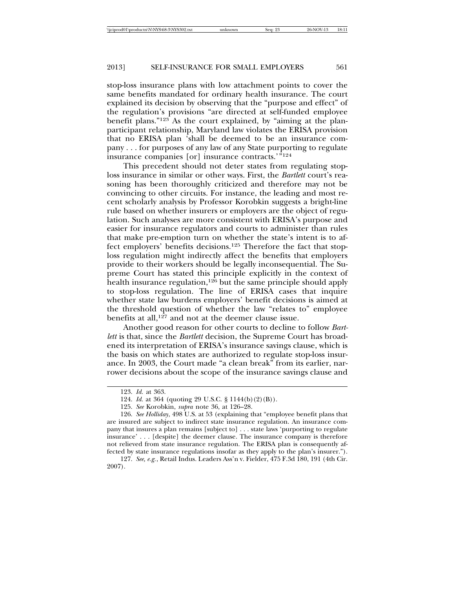stop-loss insurance plans with low attachment points to cover the same benefits mandated for ordinary health insurance. The court explained its decision by observing that the "purpose and effect" of the regulation's provisions "are directed at self-funded employee benefit plans."123 As the court explained, by "aiming at the planparticipant relationship, Maryland law violates the ERISA provision that no ERISA plan 'shall be deemed to be an insurance company . . . for purposes of any law of any State purporting to regulate insurance companies [or] insurance contracts.'<sup>"124</sup>

This precedent should not deter states from regulating stoploss insurance in similar or other ways. First, the *Bartlett* court's reasoning has been thoroughly criticized and therefore may not be convincing to other circuits. For instance, the leading and most recent scholarly analysis by Professor Korobkin suggests a bright-line rule based on whether insurers or employers are the object of regulation. Such analyses are more consistent with ERISA's purpose and easier for insurance regulators and courts to administer than rules that make pre-emption turn on whether the state's intent is to affect employers' benefits decisions.125 Therefore the fact that stoploss regulation might indirectly affect the benefits that employers provide to their workers should be legally inconsequential. The Supreme Court has stated this principle explicitly in the context of health insurance regulation,<sup>126</sup> but the same principle should apply to stop-loss regulation. The line of ERISA cases that inquire whether state law burdens employers' benefit decisions is aimed at the threshold question of whether the law "relates to" employee benefits at all,<sup>127</sup> and not at the deemer clause issue.

Another good reason for other courts to decline to follow *Bartlett* is that, since the *Bartlett* decision, the Supreme Court has broadened its interpretation of ERISA's insurance savings clause, which is the basis on which states are authorized to regulate stop-loss insurance. In 2003, the Court made "a clean break" from its earlier, narrower decisions about the scope of the insurance savings clause and

<sup>123.</sup> *Id.* at 363.

<sup>124.</sup> *Id.* at 364 (quoting 29 U.S.C. § 1144(b)(2)(B)).

<sup>125.</sup> *See* Korobkin, *supra* note 36, at 126–28.

<sup>126.</sup> *See Holliday*, 498 U.S. at 53 (explaining that "employee benefit plans that are insured are subject to indirect state insurance regulation. An insurance company that insures a plan remains [subject to] . . . state laws 'purporting to regulate insurance' . . . [despite] the deemer clause. The insurance company is therefore not relieved from state insurance regulation. The ERISA plan is consequently affected by state insurance regulations insofar as they apply to the plan's insurer.").

<sup>127.</sup> *See, e.g.*, Retail Indus. Leaders Ass'n v. Fielder, 475 F.3d 180, 191 (4th Cir. 2007).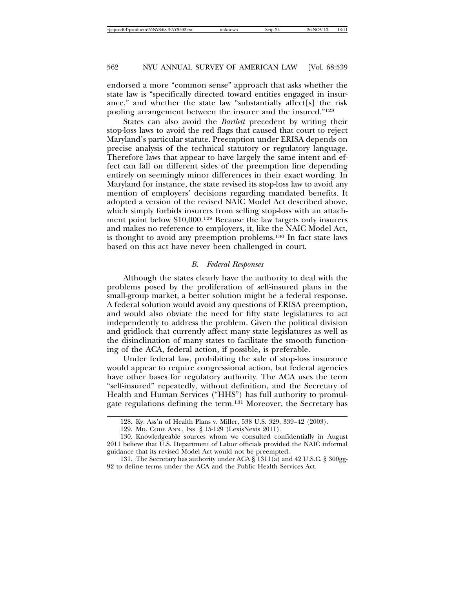endorsed a more "common sense" approach that asks whether the state law is "specifically directed toward entities engaged in insurance," and whether the state law "substantially affect[s] the risk pooling arrangement between the insurer and the insured."<sup>128</sup>

States can also avoid the *Bartlett* precedent by writing their stop-loss laws to avoid the red flags that caused that court to reject Maryland's particular statute. Preemption under ERISA depends on precise analysis of the technical statutory or regulatory language. Therefore laws that appear to have largely the same intent and effect can fall on different sides of the preemption line depending entirely on seemingly minor differences in their exact wording. In Maryland for instance, the state revised its stop-loss law to avoid any mention of employers' decisions regarding mandated benefits. It adopted a version of the revised NAIC Model Act described above, which simply forbids insurers from selling stop-loss with an attachment point below \$10,000.129 Because the law targets only insurers and makes no reference to employers, it, like the NAIC Model Act, is thought to avoid any preemption problems.130 In fact state laws based on this act have never been challenged in court.

#### *B. Federal Responses*

Although the states clearly have the authority to deal with the problems posed by the proliferation of self-insured plans in the small-group market, a better solution might be a federal response. A federal solution would avoid any questions of ERISA preemption, and would also obviate the need for fifty state legislatures to act independently to address the problem. Given the political division and gridlock that currently affect many state legislatures as well as the disinclination of many states to facilitate the smooth functioning of the ACA, federal action, if possible, is preferable.

Under federal law, prohibiting the sale of stop-loss insurance would appear to require congressional action, but federal agencies have other bases for regulatory authority. The ACA uses the term "self-insured" repeatedly, without definition, and the Secretary of Health and Human Services ("HHS") has full authority to promulgate regulations defining the term.131 Moreover, the Secretary has

<sup>128.</sup> Ky. Ass'n of Health Plans v. Miller, 538 U.S. 329, 339–42 (2003).

<sup>129.</sup> MD. CODE ANN., INS. § 15-129 (LexisNexis 2011).

<sup>130.</sup> Knowledgeable sources whom we consulted confidentially in August 2011 believe that U.S. Department of Labor officials provided the NAIC informal guidance that its revised Model Act would not be preempted.

<sup>131.</sup> The Secretary has authority under ACA § 1311(a) and 42 U.S.C. § 300gg-92 to define terms under the ACA and the Public Health Services Act.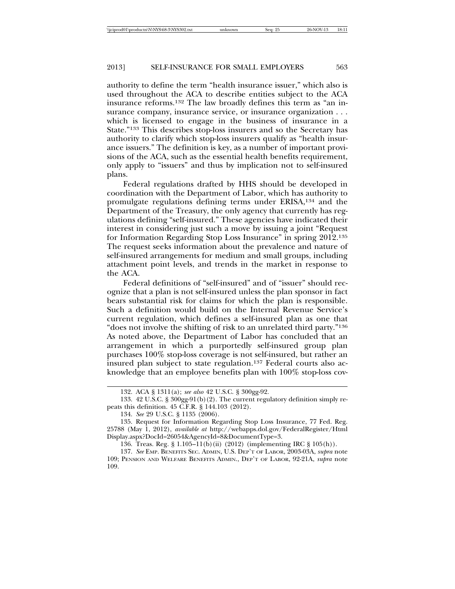authority to define the term "health insurance issuer," which also is used throughout the ACA to describe entities subject to the ACA insurance reforms.132 The law broadly defines this term as "an insurance company, insurance service, or insurance organization . . . which is licensed to engage in the business of insurance in a State."133 This describes stop-loss insurers and so the Secretary has authority to clarify which stop-loss insurers qualify as "health insurance issuers." The definition is key, as a number of important provisions of the ACA, such as the essential health benefits requirement, only apply to "issuers" and thus by implication not to self-insured plans.

Federal regulations drafted by HHS should be developed in coordination with the Department of Labor, which has authority to promulgate regulations defining terms under ERISA,134 and the Department of the Treasury, the only agency that currently has regulations defining "self-insured." These agencies have indicated their interest in considering just such a move by issuing a joint "Request for Information Regarding Stop Loss Insurance" in spring 2012.135 The request seeks information about the prevalence and nature of self-insured arrangements for medium and small groups, including attachment point levels, and trends in the market in response to the ACA.

Federal definitions of "self-insured" and of "issuer" should recognize that a plan is not self-insured unless the plan sponsor in fact bears substantial risk for claims for which the plan is responsible. Such a definition would build on the Internal Revenue Service's current regulation, which defines a self-insured plan as one that "does not involve the shifting of risk to an unrelated third party."136 As noted above, the Department of Labor has concluded that an arrangement in which a purportedly self-insured group plan purchases 100% stop-loss coverage is not self-insured, but rather an insured plan subject to state regulation.<sup>137</sup> Federal courts also acknowledge that an employee benefits plan with 100% stop-loss cov-

<sup>132.</sup> ACA § 1311(a); *see also* 42 U.S.C. § 300gg-92.

<sup>133. 42</sup> U.S.C. § 300gg-91(b)(2). The current regulatory definition simply repeats this definition. 45 C.F.R. § 144.103 (2012).

<sup>134.</sup> *See* 29 U.S.C. § 1135 (2006).

<sup>135.</sup> Request for Information Regarding Stop Loss Insurance, 77 Fed. Reg. 25788 (May 1, 2012), *available at* http://webapps.dol.gov/FederalRegister/Html Display.aspx?DocId=26054&AgencyId=8&DocumentType=3.

<sup>136.</sup> Treas. Reg. § 1.105–11(b)(ii) (2012) (implementing IRC § 105(h)).

<sup>137.</sup> *See* EMP. BENEFITS SEC. ADMIN, U.S. DEP'T OF LABOR, 2003-03A, *supra* note 109; PENSION AND WELFARE BENEFITS ADMIN., DEP'T OF LABOR, 92-21A, *supra* note 109.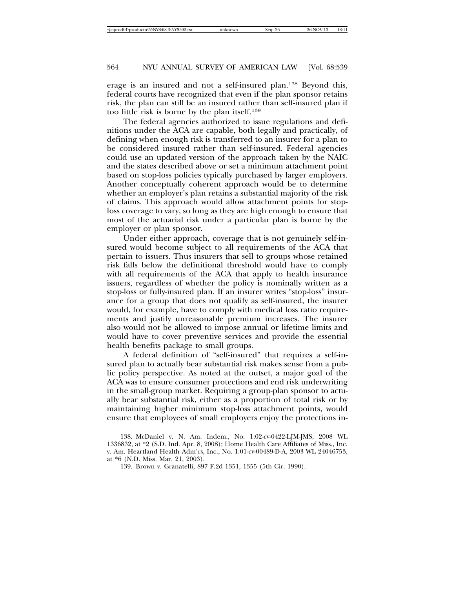erage is an insured and not a self-insured plan.138 Beyond this, federal courts have recognized that even if the plan sponsor retains risk, the plan can still be an insured rather than self-insured plan if too little risk is borne by the plan itself.139

The federal agencies authorized to issue regulations and definitions under the ACA are capable, both legally and practically, of defining when enough risk is transferred to an insurer for a plan to be considered insured rather than self-insured. Federal agencies could use an updated version of the approach taken by the NAIC and the states described above or set a minimum attachment point based on stop-loss policies typically purchased by larger employers. Another conceptually coherent approach would be to determine whether an employer's plan retains a substantial majority of the risk of claims. This approach would allow attachment points for stoploss coverage to vary, so long as they are high enough to ensure that most of the actuarial risk under a particular plan is borne by the employer or plan sponsor.

Under either approach, coverage that is not genuinely self-insured would become subject to all requirements of the ACA that pertain to issuers. Thus insurers that sell to groups whose retained risk falls below the definitional threshold would have to comply with all requirements of the ACA that apply to health insurance issuers, regardless of whether the policy is nominally written as a stop-loss or fully-insured plan. If an insurer writes "stop-loss" insurance for a group that does not qualify as self-insured, the insurer would, for example, have to comply with medical loss ratio requirements and justify unreasonable premium increases. The insurer also would not be allowed to impose annual or lifetime limits and would have to cover preventive services and provide the essential health benefits package to small groups.

A federal definition of "self-insured" that requires a self-insured plan to actually bear substantial risk makes sense from a public policy perspective. As noted at the outset, a major goal of the ACA was to ensure consumer protections and end risk underwriting in the small-group market. Requiring a group-plan sponsor to actually bear substantial risk, either as a proportion of total risk or by maintaining higher minimum stop-loss attachment points, would ensure that employees of small employers enjoy the protections in-

<sup>138.</sup> McDaniel v. N. Am. Indem., No. 1:02-cv-0422-LJM-JMS, 2008 WL 1336832, at \*2 (S.D. Ind. Apr. 8, 2008); Home Health Care Affiliates of Miss., Inc. v. Am. Heartland Health Adm'rs, Inc., No. 1:01-cv-00489-D-A, 2003 WL 24046753, at \*6 (N.D. Miss. Mar. 21, 2003).

<sup>139.</sup> Brown v. Granatelli, 897 F.2d 1351, 1355 (5th Cir. 1990).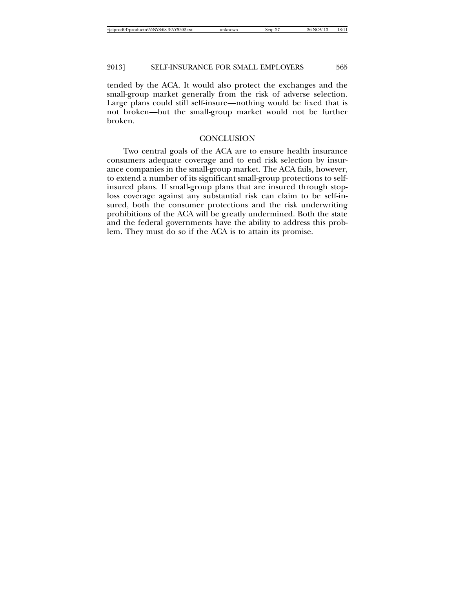tended by the ACA. It would also protect the exchanges and the small-group market generally from the risk of adverse selection. Large plans could still self-insure—nothing would be fixed that is not broken—but the small-group market would not be further broken.

# **CONCLUSION**

Two central goals of the ACA are to ensure health insurance consumers adequate coverage and to end risk selection by insurance companies in the small-group market. The ACA fails, however, to extend a number of its significant small-group protections to selfinsured plans. If small-group plans that are insured through stoploss coverage against any substantial risk can claim to be self-insured, both the consumer protections and the risk underwriting prohibitions of the ACA will be greatly undermined. Both the state and the federal governments have the ability to address this problem. They must do so if the ACA is to attain its promise.